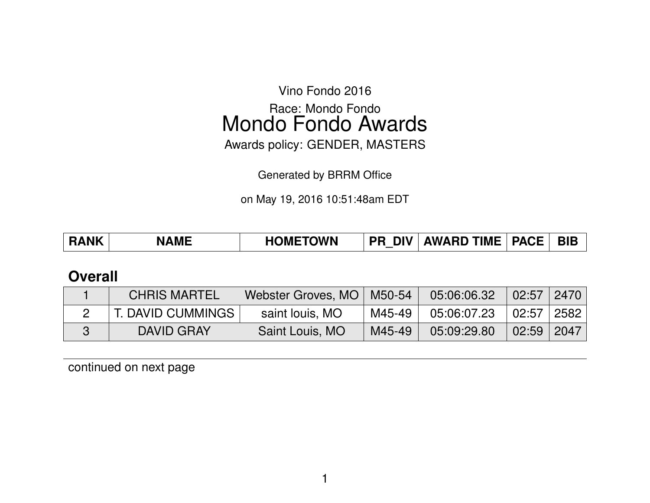Vino Fondo 2016

Race: Mondo Fondo Mondo Fondo Awards

Awards policy: GENDER, MASTERS

Generated by BRRM Office

on May 19, 2016 10:51:48am EDT

| <b>BIB</b><br><b>RANK</b><br>$\overline{\phantom{a}}$ PACE<br><b>HOMETOWN</b><br>⊦ AWARD TIME <sup>∣</sup><br>DIV<br><b>AME</b><br><b>PR</b><br>_ |
|---------------------------------------------------------------------------------------------------------------------------------------------------|
|---------------------------------------------------------------------------------------------------------------------------------------------------|

### **Overall**

| <b>CHRIS MARTEL</b> | Webster Groves, MO   M50-54 |        | 05:06:06.32 | 02:57        | 2470 |
|---------------------|-----------------------------|--------|-------------|--------------|------|
| T. DAVID CUMMINGS   | saint louis, MO             | M45-49 | 05:06:07.23 | 02:57   2582 |      |
| DAVID GRAY          | Saint Louis, MO             | M45-49 | 05:09:29.80 | 02:59        | 2047 |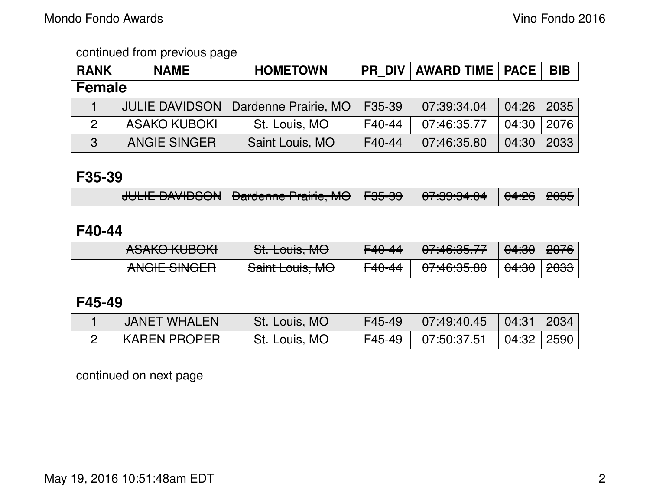| <b>RANK</b>   | <b>NAME</b>           | <b>HOMETOWN</b>      | <b>PR DIV</b> | <b>AWARD TIME   PACE  </b> |                | <b>BIB</b> |
|---------------|-----------------------|----------------------|---------------|----------------------------|----------------|------------|
| <b>Female</b> |                       |                      |               |                            |                |            |
|               | <b>JULIE DAVIDSON</b> | Dardenne Prairie, MO | F35-39        | 07:39:34.04                | $04:26$   2035 |            |
| 2             | <b>ASAKO KUBOKI</b>   | St. Louis, MO        | F40-44        | 07:46:35.77                | 04:30          | 2076       |
| 3             | <b>ANGIE SINGER</b>   | Saint Louis, MO      | F40-44        | 07:46:35.80                | 04:30          | 2033       |

#### **F35-39**

|  | $\text{HII IT}$ $\text{MII}$ $\text{Doulence}$ $\text{Ducino}$ $\text{MQ}$ $\text{FOT}$ $\text{QQ}$ $\text{OZ}$ , $\text{OQ}$ , $\text{OA}$ $\text{OA}$ |  |  | i <del>04:26</del> i <del>2035</del> i |  |
|--|---------------------------------------------------------------------------------------------------------------------------------------------------------|--|--|----------------------------------------|--|
|--|---------------------------------------------------------------------------------------------------------------------------------------------------------|--|--|----------------------------------------|--|

### **F40-44**

| ACAIXO IXLIDOIXL<br><u>AOANO NODONI</u> | $C_{\perp}$ $\sim$ $\sim$ $\sim$ $\sim$ $\sim$ $\sim$<br><del>ol. Ludis, MO</del> | <del>190999</del> | $27.10.05$ 77<br><del>07.40.00.77</del> | <del>04:30</del> | ' <del>2076</del> ' |
|-----------------------------------------|-----------------------------------------------------------------------------------|-------------------|-----------------------------------------|------------------|---------------------|
| ANCIE CINCED                            | Coint Law                                                                         | $\sqrt{10.11}$    | 0.7.10.0500                             | مصنف             | ചാര ച               |
| ANGL OINGER                             | <del>Jalik Louis, MO</del>                                                        | <del>140744</del> | <del>᠁ჀჀჀჀႥ</del>                       | ᠸᡉᠷᡂ             | ਾਹਰ ।               |

# **F45-49**

| <b>JANET WHALEN</b> | St. Louis, MO | F45-49 |                                                   |  |
|---------------------|---------------|--------|---------------------------------------------------|--|
| <b>KAREN PROPER</b> | St. Louis, MO | F45-49 | $07:50:37.51$ $\mid$ $04:32$ $\mid$ $2590$ $\mid$ |  |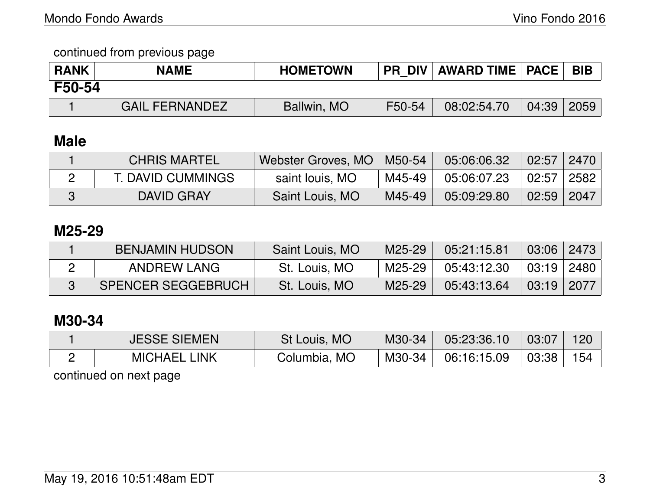| <b>RANK</b>   | <b>NAME</b>           | <b>HOMETOWN</b> | <b>PR DIV</b> | <b>AWARD TIME   PACE  </b> |       | <b>BIB</b> |
|---------------|-----------------------|-----------------|---------------|----------------------------|-------|------------|
| <b>F50-54</b> |                       |                 |               |                            |       |            |
|               | <b>GAIL FERNANDEZ</b> | Ballwin, MO     | F50-54        | 08:02:54.70                | 04:39 | 2059       |

# **Male**

| <b>CHRIS MARTEL</b> | Webster Groves, MO   M50-54 |        | 05:06:06.32 | $02:57$   2470 |  |
|---------------------|-----------------------------|--------|-------------|----------------|--|
| T. DAVID CUMMINGS   | saint louis, MO             | M45-49 | 05:06:07.23 | 02:57   2582   |  |
| DAVID GRAY          | Saint Louis, MO             | M45-49 | 05:09:29.80 | $02:59$   2047 |  |

## **M25-29**

| <b>BENJAMIN HUDSON</b>    | Saint Louis, MO | M25-29 | 05:21:15.81 | $03:06$   2473 |      |
|---------------------------|-----------------|--------|-------------|----------------|------|
| ANDREW LANG               | St. Louis, MO   | M25-29 | 05:43:12.30 | $03:19$   2480 |      |
| <b>SPENCER SEGGEBRUCH</b> | St. Louis, MO   | M25-29 | 05:43:13.64 | 03:19          | 2077 |

# **M30-34**

| <b>JESSE SIEMEN</b> | St Louis, MO | M30-34 | 05:23:36.10 | 03:07 |     |
|---------------------|--------------|--------|-------------|-------|-----|
| <b>MICHAEL LINK</b> | Columbia, MO | M30-34 | 06:16:15.09 | 03:38 | 154 |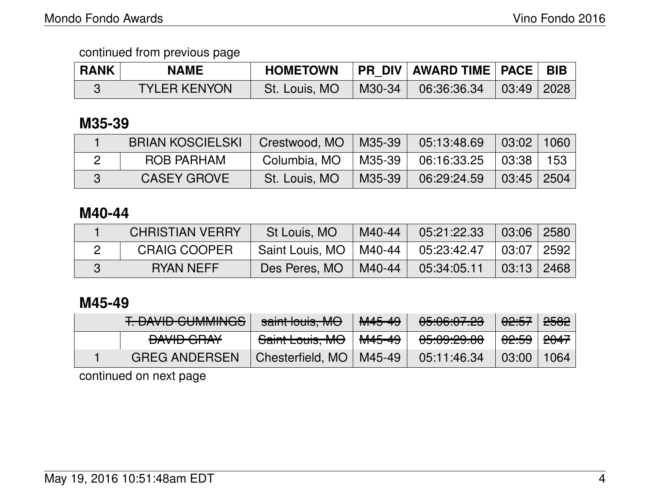| <b>RANK</b> | <b>NAME</b>         | HOMETOWN   PR DIV   AWARD TIME   PACE   BIB |        |                           |  |
|-------------|---------------------|---------------------------------------------|--------|---------------------------|--|
|             | <b>TYLER KENYON</b> | St. Louis, MO                               | M30-34 | 06:36:36.34  03:49   2028 |  |

## **M35-39**

| <b>BRIAN KOSCIELSKI</b> | Crestwood, MO | $M35-39$ | 05:13:48.69 | $03:02$   1060                |     |
|-------------------------|---------------|----------|-------------|-------------------------------|-----|
| ROB PARHAM              | Columbia, MO  | M35-39 I | 06:16:33.25 | $\parallel$ 03:38 $\parallel$ | 153 |
| <b>CASEY GROVE</b>      | St. Louis, MO | M35-39   | 06:29:24.59 | 03:45   2504                  |     |

## **M40-44**

| <b>CHRISTIAN VERRY</b> | St Louis, MO             | M40-44 | 05:21:22.33 | $\mid$ 03:06 $\mid$ 2580 $\mid$    |  |
|------------------------|--------------------------|--------|-------------|------------------------------------|--|
| <b>CRAIG COOPER</b>    | Saint Louis, MO   M40-44 |        | 05:23:42.47 | $\vert$ 03:07 $\vert$ 2592 $\vert$ |  |
| RYAN NEFF              | Des Peres, MO            | M40-44 | 05:34:05.11 | $03:13$ 2468                       |  |

# **M45-49**

| $T$ DAVID CLIMINICC<br><del>T. DAVID GUMMINGO</del> | saint louis, MO  | <del>M45-49</del> | $AC$ $AC$ $AD$<br><del>us.uu.ur.cu</del> | <del>02:57</del> | 2582            |
|-----------------------------------------------------|------------------|-------------------|------------------------------------------|------------------|-----------------|
| <b>DAVID CDAV</b><br><del>DAVID GHAT</del>          | Saint Louis, MO  | <del>M45-49</del> | AC,AA,AA,AA<br><del>ೲೲೱೱ</del> ೲ         | <del>02:59</del> | <del>2047</del> |
| <b>GREG ANDERSEN</b>                                | Chesterfield, MO | M45-49            | 05:11:46.34                              | 03:00            | 1064            |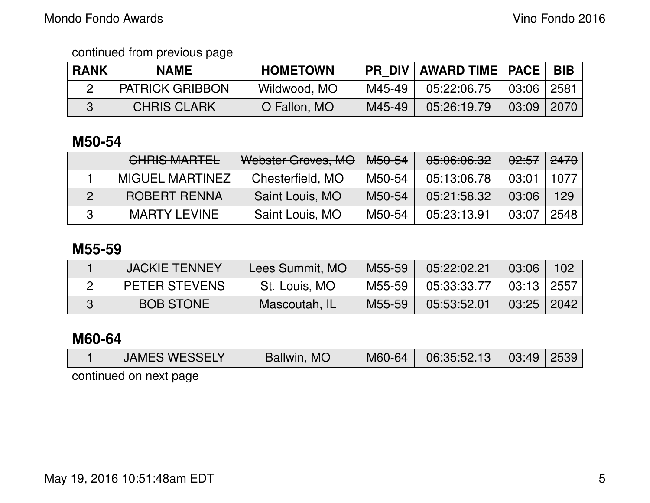| <b>RANK</b> | <b>NAME</b>            | <b>HOMETOWN</b> |        | <b>PR DIV   AWARD TIME   PACE  </b> |       | <b>BIB</b> |
|-------------|------------------------|-----------------|--------|-------------------------------------|-------|------------|
|             | <b>PATRICK GRIBBON</b> | Wildwood, MO    | M45-49 | 05:22:06.75                         | 03:06 | 2581       |
|             | <b>CHRIS CLARK</b>     | O Fallon, MO    | M45-49 | 05:26:19.79                         | 03:09 | 2070       |

# **M50-54**

| CHRIS MARTEL        | Webster Groves, MO | <del>M50-54</del> | 05:06:06.32 | <del>02:57</del> 2470 |      |
|---------------------|--------------------|-------------------|-------------|-----------------------|------|
| MIGUEL MARTINEZ     | Chesterfield, MO   | M50-54            | 05:13:06.78 | 03:01                 | 1077 |
| ROBERT RENNA        | Saint Louis, MO    | M50-54            | 05:21:58.32 | 03:06                 | 129  |
| <b>MARTY LEVINE</b> | Saint Louis, MO    | M50-54            | 05:23:13.91 | 03:07                 | 2548 |

### **M55-59**

| <b>JACKIE TENNEY</b> | Lees Summit, MO | M55-59 | 05:22:02.21 | 03:06              | 102 |
|----------------------|-----------------|--------|-------------|--------------------|-----|
| <b>PETER STEVENS</b> | St. Louis, MO   | M55-59 | 05:33:33.77 | $\vert$ 03:13 2557 |     |
| <b>BOB STONE</b>     | Mascoutah, IL   | M55-59 | 05:53:52.01 | $03:25$ 2042       |     |

#### **M60-64**

|                        | <b>JAMES WESSELY</b> | Ballwin, MO |  | M60-64   06:35:52.13   03:49   2539 |  |  |  |
|------------------------|----------------------|-------------|--|-------------------------------------|--|--|--|
| continued on next nage |                      |             |  |                                     |  |  |  |